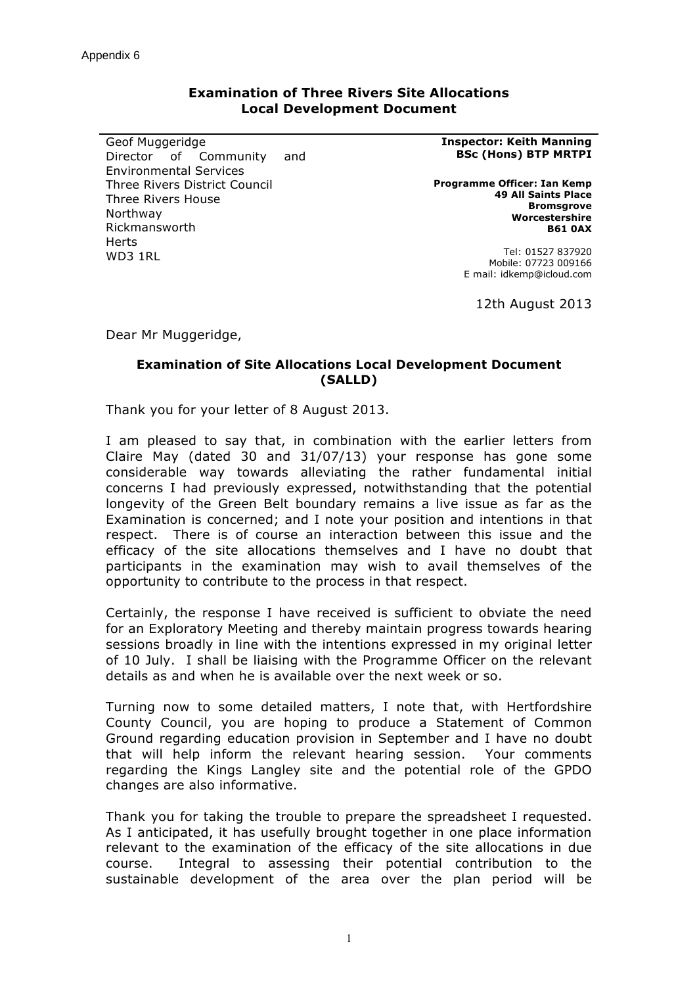## **Examination of Three Rivers Site Allocations Local Development Document**

Geof Muggeridge Director of Community and Environmental Services Three Rivers District Council Three Rivers House Northway Rickmansworth **Harts** WD3 1RL

## **Inspector: Keith Manning BSc (Hons) BTP MRTPI**

**Programme Officer: Ian Kemp 49 All Saints Place Bromsgrove Worcestershire B61 0AX**

> Tel: 01527 837920 Mobile: 07723 009166 E mail: idkemp@icloud.com

> > 12th August 2013

Dear Mr Muggeridge,

## **Examination of Site Allocations Local Development Document (SALLD)**

Thank you for your letter of 8 August 2013.

I am pleased to say that, in combination with the earlier letters from Claire May (dated 30 and 31/07/13) your response has gone some considerable way towards alleviating the rather fundamental initial concerns I had previously expressed, notwithstanding that the potential longevity of the Green Belt boundary remains a live issue as far as the Examination is concerned; and I note your position and intentions in that respect. There is of course an interaction between this issue and the efficacy of the site allocations themselves and I have no doubt that participants in the examination may wish to avail themselves of the opportunity to contribute to the process in that respect.

Certainly, the response I have received is sufficient to obviate the need for an Exploratory Meeting and thereby maintain progress towards hearing sessions broadly in line with the intentions expressed in my original letter of 10 July. I shall be liaising with the Programme Officer on the relevant details as and when he is available over the next week or so.

Turning now to some detailed matters, I note that, with Hertfordshire County Council, you are hoping to produce a Statement of Common Ground regarding education provision in September and I have no doubt that will help inform the relevant hearing session. Your comments regarding the Kings Langley site and the potential role of the GPDO changes are also informative.

Thank you for taking the trouble to prepare the spreadsheet I requested. As I anticipated, it has usefully brought together in one place information relevant to the examination of the efficacy of the site allocations in due course. Integral to assessing their potential contribution to the sustainable development of the area over the plan period will be